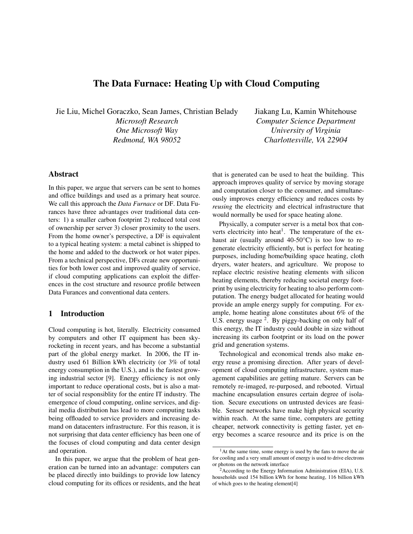## The Data Furnace: Heating Up with Cloud Computing

Jie Liu, Michel Goraczko, Sean James, Christian Belady *Microsoft Research One Microsoft Way Redmond, WA 98052*

Jiakang Lu, Kamin Whitehouse *Computer Science Department University of Virginia Charlottesville, VA 22904*

# Abstract

In this paper, we argue that servers can be sent to homes and office buildings and used as a primary heat source. We call this approach the *Data Furnace* or DF. Data Furances have three advantages over traditional data centers: 1) a smaller carbon footprint 2) reduced total cost of ownership per server 3) closer proximity to the users. From the home owner's perspective, a DF is equivalent to a typical heating system: a metal cabinet is shipped to the home and added to the ductwork or hot water pipes. From a technical perspective, DFs create new opportunities for both lower cost and improved quality of service, if cloud computing applications can exploit the differences in the cost structure and resource profile between Data Furances and conventional data centers.

### 1 Introduction

Cloud computing is hot, literally. Electricity consumed by computers and other IT equipment has been skyrocketing in recent years, and has become a substantial part of the global energy market. In 2006, the IT industry used 61 Billion kWh electricity (or 3% of total energy consumption in the U.S.), and is the fastest growing industrial sector [9]. Energy efficiency is not only important to reduce operational costs, but is also a matter of social responsiblity for the entire IT industry. The emergence of cloud computing, online services, and digital media distribution has lead to more computing tasks being offloaded to service providers and increasing demand on datacenters infrastructure. For this reason, it is not surprising that data center efficiency has been one of the focuses of cloud computing and data center design and operation.

In this paper, we argue that the problem of heat generation can be turned into an advantage: computers can be placed directly into buildings to provide low latency cloud computing for its offices or residents, and the heat that is generated can be used to heat the building. This approach improves quality of service by moving storage and computation closer to the consumer, and simultaneously improves energy efficiency and reduces costs by *reusing* the electricity and electrical infrastructure that would normally be used for space heating alone.

Physically, a computer server is a metal box that converts electricity into heat<sup>1</sup>. The temperature of the exhaust air (usually around 40-50°C) is too low to regenerate electricity efficiently, but is perfect for heating purposes, including home/building space heating, cloth dryers, water heaters, and agriculture. We propose to replace electric resistive heating elements with silicon heating elements, thereby reducing societal energy footprint by using electricity for heating to also perform computation. The energy budget allocated for heating would provide an ample energy supply for computing. For example, home heating alone constitutes about 6% of the U.S. energy usage <sup>2</sup>. By piggy-backing on only half of this energy, the IT industry could double in size without increasing its carbon footprint or its load on the power grid and generation systems.

Technological and economical trends also make energy reuse a promising direction. After years of development of cloud computing infrastructure, system management capabilities are getting mature. Servers can be remotely re-imaged, re-purposed, and rebooted. Virtual machine encapsulation ensures certain degree of isolation. Secure executions on untrusted devices are feasible. Sensor networks have make high physical security within reach. At the same time, computers are getting cheaper, network connectivity is getting faster, yet energy becomes a scarce resource and its price is on the

<sup>&</sup>lt;sup>1</sup>At the same time, some energy is used by the fans to move the air for cooling and a very small amount of energy is used to drive electrons or photons on the network interface

<sup>2</sup>According to the Energy Information Administration (EIA), U.S. households used 154 billion kWh for home heating, 116 billion kWh of which goes to the heating element[4]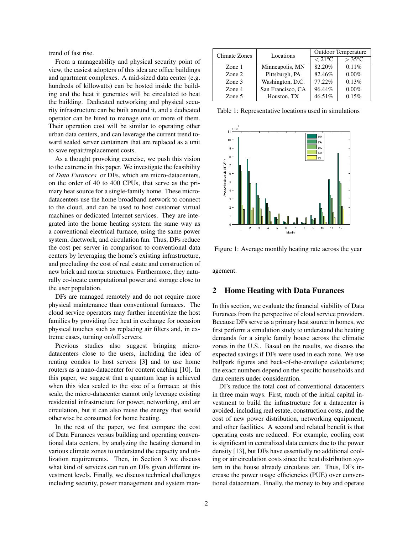trend of fast rise.

From a manageability and physical security point of view, the easiest adopters of this idea are office buildings and apartment complexes. A mid-sized data center (e.g. hundreds of killowatts) can be hosted inside the building and the heat it generates will be circulated to heat the building. Dedicated networking and physical security infrastructure can be built around it, and a dedicated operator can be hired to manage one or more of them. Their operation cost will be similar to operating other urban data centers, and can leverage the current trend toward sealed server containers that are replaced as a unit to save repair/replacement costs.

As a thought provoking exercise, we push this vision to the extreme in this paper. We investigate the feasibility of *Data Furances* or DFs, which are micro-datacenters, on the order of 40 to 400 CPUs, that serve as the primary heat source for a single-family home. These microdatacenters use the home broadband network to connect to the cloud, and can be used to host customer virtual machines or dedicated Internet services. They are integrated into the home heating system the same way as a conventional electrical furnace, using the same power system, ductwork, and circulation fan. Thus, DFs reduce the cost per server in comparison to conventional data centers by leveraging the home's existing infrastructure, and precluding the cost of real estate and construction of new brick and mortar structures. Furthermore, they naturally co-locate computational power and storage close to the user population.

DFs are managed remotely and do not require more physical maintenance than conventional furnaces. The cloud service operators may further incentivize the host families by providing free heat in exchange for occasion physical touches such as replacing air filters and, in extreme cases, turning on/off servers.

Previous studies also suggest bringing microdatacenters close to the users, including the idea of renting condos to host servers [3] and to use home routers as a nano-datacenter for content caching [10]. In this paper, we suggest that a quantum leap is achieved when this idea scaled to the size of a furnace; at this scale, the micro-datacenter cannot only leverage existing residential infrastructure for power, networking, and air circulation, but it can also reuse the energy that would otherwise be consumed for home heating.

In the rest of the paper, we first compare the cost of Data Furances versus building and operating conventional data centers, by analyzing the heating demand in various climate zones to understand the capacity and utilization requirements. Then, in Section 3 we discuss what kind of services can run on DFs given different investment levels. Finally, we discuss technical challenges including security, power management and system man-

| Climate Zones | Locations         | <b>Outdoor Temperature</b> |                 |  |
|---------------|-------------------|----------------------------|-----------------|--|
|               |                   | $< 21^{\circ}$ C           | $>35^{\circ}$ C |  |
| Zone 1        | Minneapolis, MN   | 82.20%                     | 0.11%           |  |
| Zone 2        | Pittsburgh, PA    | 82.46%                     | $0.00\%$        |  |
| Zone 3        | Washington, D.C.  | 77.22%                     | 0.13%           |  |
| Zone 4        | San Francisco, CA | 96.44%                     | $0.00\%$        |  |
| Zone 5        | Houston, TX       | 46.51%                     | 0.15%           |  |

Table 1: Representative locations used in simulations



Figure 1: Average monthly heating rate across the year

agement.

#### 2 Home Heating with Data Furances

In this section, we evaluate the financial viability of Data Furances from the perspective of cloud service providers. Because DFs serve as a primary heat source in homes, we first perform a simulation study to understand the heating demands for a single family house across the climatic zones in the U.S.. Based on the results, we discuss the expected savings if DFs were used in each zone. We use ballpark figures and back-of-the-envelope calculations; the exact numbers depend on the specific households and data centers under consideration.

DFs reduce the total cost of conventional datacenters in three main ways. First, much of the initial capital investment to build the infrastructure for a datacenter is avoided, including real estate, construction costs, and the cost of new power distribution, networking equipment, and other facilities. A second and related benefit is that operating costs are reduced. For example, cooling cost is significant in centralized data centers due to the power density [13], but DFs have essentially no additional cooling or air circulation costs since the heat distribution system in the house already circulates air. Thus, DFs increase the power usage efficiencies (PUE) over conventional datacenters. Finally, the money to buy and operate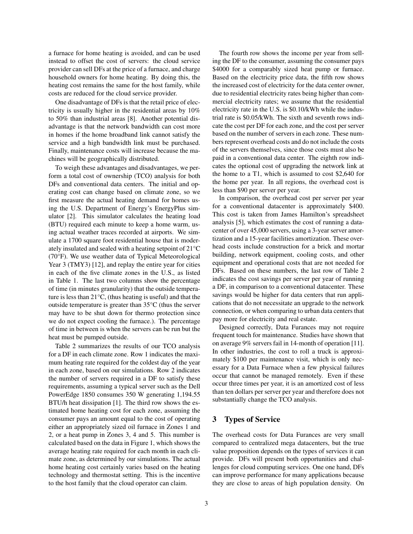a furnace for home heating is avoided, and can be used instead to offset the cost of servers: the cloud service provider can sell DFs at the price of a furnace, and charge household owners for home heating. By doing this, the heating cost remains the same for the host family, while costs are reduced for the cloud service provider.

One disadvantage of DFs is that the retail price of electricity is usually higher in the residential areas by 10% to 50% than industrial areas [8]. Another potential disadvantage is that the network bandwidth can cost more in homes if the home broadband link cannot satisfy the service and a high bandwidth link must be purchased. Finally, maintenance costs will increase because the machines will be geographically distributed.

To weigh these advantages and disadvantages, we perform a total cost of ownership (TCO) analysis for both DFs and conventional data centers. The initial and operating cost can change based on climate zone, so we first measure the actual heating demand for homes using the U.S. Department of Energy's EnergyPlus simulator [2]. This simulator calculates the heating load (BTU) required each minute to keep a home warm, using actual weather traces recorded at airports. We simulate a 1700 square foot residential house that is moderately insulated and sealed with a heating setpoint of 21°C (70°F). We use weather data of Typical Meteorological Year 3 (TMY3) [12], and replay the entire year for cities in each of the five climate zones in the U.S., as listed in Table 1. The last two columns show the percentage of time (in minutes granularity) that the outside temperature is less than 21°C, (thus heating is useful) and that the outside temperature is greater than 35°C (thus the server may have to be shut down for thermo protection since we do not expect cooling the furnace.). The percentage of time in between is when the servers can be run but the heat must be pumped outside.

Table 2 summarizes the results of our TCO analysis for a DF in each climate zone. Row 1 indicates the maximum heating rate required for the coldest day of the year in each zone, based on our simulations. Row 2 indicates the number of servers required in a DF to satisfy these requirements, assuming a typical server such as the Dell PowerEdge 1850 consumes 350 W generating 1,194.55 BTU/h heat dissipation [1]. The third row shows the estimated home heating cost for each zone, assuming the consumer pays an amount equal to the cost of operating either an appropriately sized oil furnace in Zones 1 and 2, or a heat pump in Zones 3, 4 and 5. This number is calculated based on the data in Figure 1, which shows the average heating rate required for each month in each climate zone, as determined by our simulations. The actual home heating cost certainly varies based on the heating technology and thermostat setting. This is the incentive to the host family that the cloud operator can claim.

The fourth row shows the income per year from selling the DF to the consumer, assuming the consumer pays \$4000 for a comparably sized heat pump or furnace. Based on the electricity price data, the fifth row shows the increased cost of electricity for the data center owner, due to residential electricity rates being higher than commercial electricity rates; we assume that the residential electricity rate in the U.S. is \$0.10/kWh while the industrial rate is \$0.05/kWh. The sixth and seventh rows indicate the cost per DF for each zone, and the cost per server based on the number of servers in each zone. These numbers represent overhead costs and do not include the costs of the servers themselves, since those costs must also be paid in a conventional data center. The eighth row indicates the optional cost of upgrading the network link at the home to a T1, which is assumed to cost \$2,640 for the home per year. In all regions, the overhead cost is less than \$90 per server per year.

In comparison, the overhead cost per server per year for a conventional datacenter is approximately \$400. This cost is taken from James Hamilton's spreadsheet analysis [5], which estimates the cost of running a datacenter of over 45,000 servers, using a 3-year server amortization and a 15-year facilities amortization. These overhead costs include construction for a brick and mortar building, network equipment, cooling costs, and other equipment and operational costs that are not needed for DFs. Based on these numbers, the last row of Table 2 indicates the cost savings per server per year of running a DF, in comparison to a conventional datacenter. These savings would be higher for data centers that run applications that do not necessitate an upgrade to the network connection, or when comparing to urban data centers that pay more for electricity and real estate.

Designed correctly, Data Furances may not require frequent touch for maintenance. Studies have shown that on average 9% servers fail in 14-month of operation [11]. In other industries, the cost to roll a truck is approximately \$100 per maintenance visit, which is only necessary for a Data Furnace when a few physical failures occur that cannot be managed remotely. Even if these occur three times per year, it is an amortized cost of less than ten dollars per server per year and therefore does not substantially change the TCO analysis.

### 3 Types of Service

The overhead costs for Data Furances are very small compared to centralized mega datacenters, but the true value proposition depends on the types of services it can provide. DFs will present both opportunities and challenges for cloud computing services. One one hand, DFs can improve performance for many applications because they are close to areas of high population density. On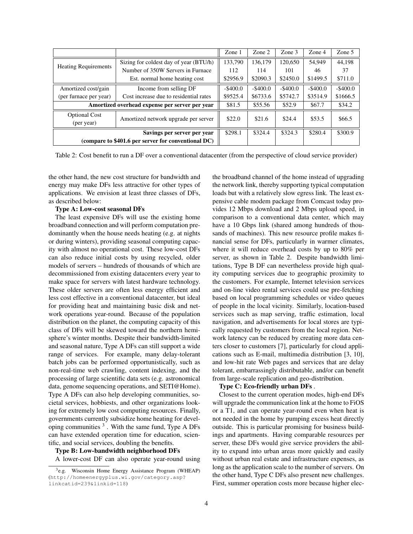|                                                     |                                        | Zone 1      | Zone 2      | Zone 3      | Zone 4      | Zone 5      |
|-----------------------------------------------------|----------------------------------------|-------------|-------------|-------------|-------------|-------------|
| <b>Heating Requirements</b>                         | Sizing for coldest day of year (BTU/h) | 133,790     | 136,179     | 120,650     | 54.949      | 44.198      |
|                                                     | Number of 350W Servers in Furnace      | 112         | 114         | 101         | 46          | 37          |
|                                                     | Est. normal home heating cost          | \$2956.9    | \$2090.3    | \$2450.0    | \$1499.5    | \$711.0     |
| Amortized cost/gain                                 | Income from selling DF                 | $-$ \$400.0 | $-$ \$400.0 | $-$ \$400.0 | $-$ \$400.0 | $-$ \$400.0 |
| (per furnace per year)                              | Cost increase due to residential rates | \$9525.4    | \$6733.6    | \$5742.7    | \$3514.9    | \$1666.5    |
| Amortized overhead expense per server per year      |                                        | \$81.5      | \$55.56     | \$52.9      | \$67.7      | \$34.2      |
| <b>Optional Cost</b>                                | Amortized network upgrade per server   | \$22.0      | \$21.6      | \$24.4      | \$53.5      | \$66.5      |
| (per year)                                          |                                        |             |             |             |             |             |
| Savings per server per year                         |                                        | \$298.1     | \$324.4     | \$324.3     | \$280.4     | \$300.9     |
| (compare to \$401.6 per server for conventional DC) |                                        |             |             |             |             |             |

Table 2: Cost benefit to run a DF over a conventional datacenter (from the perspective of cloud service provider)

the other hand, the new cost structure for bandwidth and energy may make DFs less attractive for other types of applications. We envision at least three classes of DFs, as described below:

#### Type A: Low-cost seasonal DFs

The least expensive DFs will use the existing home broadband connection and will perform computation predominantly when the house needs heating (e.g. at nights or during winters), providing seasonal computing capacity with almost no operational cost. These low-cost DFs can also reduce initial costs by using recycled, older models of servers – hundreds of thousands of which are decommissioned from existing datacenters every year to make space for servers with latest hardware technology. These older servers are often less energy efficient and less cost effective in a conventional datacenter, but ideal for providing heat and maintaining basic disk and network operations year-round. Because of the population distribution on the planet, the computing capacity of this class of DFs will be skewed toward the northern hemisphere's winter months. Despite their bandwidth-limited and seasonal nature, Type A DFs can still support a wide range of services. For example, many delay-tolerant batch jobs can be performed opportunistically, such as non-real-time web crawling, content indexing, and the processing of large scientific data sets (e.g. astronomical data, genome sequencing operations, and SETI@Home). Type A DFs can also help developing communities, societal services, hobbiests, and other organizations looking for extremely low cost computing resources. Finally, governments currently subsidize home heating for developing communities  $3$ . With the same fund, Type A DFs can have extended operation time for education, scientific, and social services, doubling the benefits.

#### Type B: Low-bandwidth neighborhood DFs

A lower-cost DF can also operate year-round using

the broadband channel of the home instead of upgrading the network link, thereby supporting typical computation loads but with a relatively slow egress link. The least expensive cable modem package from Comcast today provides 12 Mbps download and 2 Mbps upload speed, in comparison to a conventional data center, which may have a 10 Gbps link (shared among hundreds of thousands of machines). This new resource profile makes financial sense for DFs, particularly in warmer climates, where it will reduce overhead costs by up to 80% per server, as shown in Table 2. Despite bandwidth limitations, Type B DF can nevertheless provide high quality computing services due to geographic proximity to the customers. For example, Internet television services and on-line video rental services could use pre-fetching based on local programming schedules or video queues of people in the local vicinity. Similarly, location-based services such as map serving, traffic estimation, local navigation, and advertisements for local stores are typically requested by customers from the local region. Network latency can be reduced by creating more data centers closer to customers [7], particularly for cloud applications such as E-mail, multimedia distribution [3, 10], and low-hit rate Web pages and services that are delay tolerant, embarrassingly distributable, and/or can benefit from large-scale replication and geo-distribution.

### Type C: Eco-friendly urban DFs .

Closest to the current operation modes, high-end DFs will upgrade the communication link at the home to FiOS or a T1, and can operate year-round even when heat is not needed in the home by pumping excess heat directly outside. This is particular promising for business buildings and apartments. Having comparable resources per server, these DFs would give service providers the ability to expand into urban areas more quickly and easily without urban real estate and infrastructure expenses, as long as the application scale to the number of servers. On the other hand, Type C DFs also present new challenges. First, summer operation costs more because higher elec-

<sup>&</sup>lt;sup>3</sup>e.g. Wisconsin Home Energy Assistance Program (WHEAP) (http://homeenergyplus.wi.gov/category.asp? linkcatid=239&linkid=118)